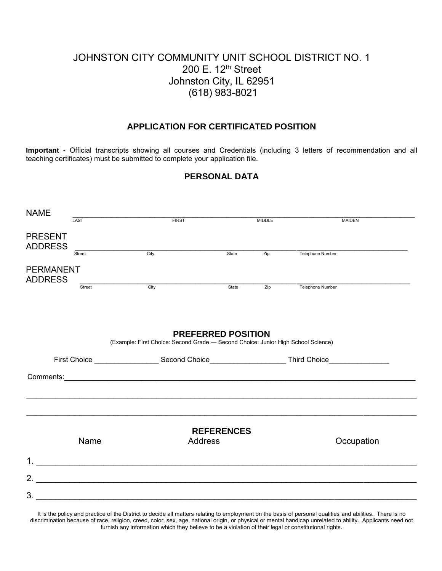# JOHNSTON CITY COMMUNITY UNIT SCHOOL DISTRICT NO. 1 200 E. 12<sup>th</sup> Street Johnston City, IL 62951 (618) 983-8021

# **APPLICATION FOR CERTIFICATED POSITION**

**Important -** Official transcripts showing all courses and Credentials (including 3 letters of recommendation and all teaching certificates) must be submitted to complete your application file.

## **PERSONAL DATA**

| <b>NAME</b>                        |        |                                                                                                                |                   |                  |                  |
|------------------------------------|--------|----------------------------------------------------------------------------------------------------------------|-------------------|------------------|------------------|
|                                    | LAST   | <b>FIRST</b>                                                                                                   |                   | <b>MIDDLE</b>    | <b>MAIDEN</b>    |
| <b>PRESENT</b><br><b>ADDRESS</b>   | Street | $\overline{City}$                                                                                              | State             | $\overline{Zip}$ | Telephone Number |
|                                    |        |                                                                                                                |                   |                  |                  |
| <b>PERMANENT</b><br><b>ADDRESS</b> |        |                                                                                                                |                   |                  |                  |
|                                    | Street | $\frac{1}{\text{City}}$                                                                                        | State             | $\overline{Zip}$ | Telephone Number |
|                                    |        |                                                                                                                |                   |                  |                  |
|                                    |        |                                                                                                                |                   |                  |                  |
|                                    |        |                                                                                                                |                   |                  |                  |
|                                    |        | <b>PREFERRED POSITION</b><br>(Example: First Choice: Second Grade - Second Choice: Junior High School Science) |                   |                  |                  |
|                                    |        | First Choice __________________________Second Choice_____________________________ Third Choice________________ |                   |                  |                  |
|                                    |        |                                                                                                                |                   |                  |                  |
|                                    |        |                                                                                                                |                   |                  |                  |
|                                    |        |                                                                                                                |                   |                  |                  |
|                                    |        |                                                                                                                | <b>REFERENCES</b> |                  |                  |
|                                    | Name   | <b>Address</b>                                                                                                 |                   |                  | Occupation       |
|                                    |        |                                                                                                                |                   |                  |                  |
|                                    |        |                                                                                                                |                   |                  |                  |
| 2 <sub>1</sub>                     |        |                                                                                                                |                   |                  |                  |
| 3.                                 |        |                                                                                                                |                   |                  |                  |
|                                    |        |                                                                                                                |                   |                  |                  |

It is the policy and practice of the District to decide all matters relating to employment on the basis of personal qualities and abilities. There is no discrimination because of race, religion, creed, color, sex, age, national origin, or physical or mental handicap unrelated to ability. Applicants need not furnish any information which they believe to be a violation of their legal or constitutional rights.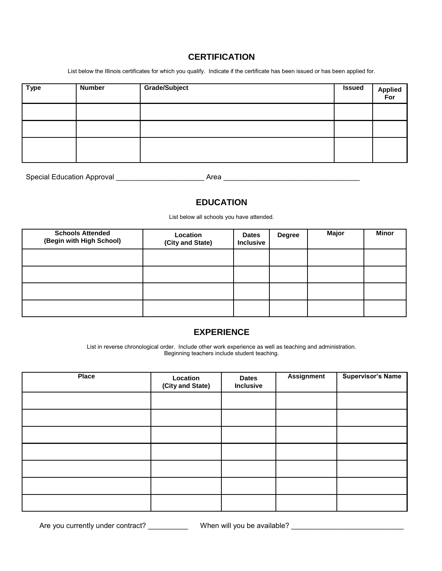# **CERTIFICATION**

List below the Illinois certificates for which you qualify. Indicate if the certificate has been issued or has been applied for.

| <b>Type</b> | <b>Number</b> | Grade/Subject | <b>Issued</b> | Applied<br>For |
|-------------|---------------|---------------|---------------|----------------|
|             |               |               |               |                |
|             |               |               |               |                |
|             |               |               |               |                |

| <b>Special Education Approval</b> | Area |  |
|-----------------------------------|------|--|
|                                   |      |  |

# **EDUCATION**

List below all schools you have attended.

| <b>Schools Attended</b><br>(Begin with High School) | Location<br>(City and State) | <b>Dates</b><br><b>Inclusive</b> | <b>Degree</b> | Major | <b>Minor</b> |
|-----------------------------------------------------|------------------------------|----------------------------------|---------------|-------|--------------|
|                                                     |                              |                                  |               |       |              |
|                                                     |                              |                                  |               |       |              |
|                                                     |                              |                                  |               |       |              |
|                                                     |                              |                                  |               |       |              |

## **EXPERIENCE**

List in reverse chronological order. Include other work experience as well as teaching and administration. Beginning teachers include student teaching.

| <b>Place</b> | Location<br>(City and State) | <b>Dates</b><br>Inclusive | <b>Assignment</b> | <b>Supervisor's Name</b> |
|--------------|------------------------------|---------------------------|-------------------|--------------------------|
|              |                              |                           |                   |                          |
|              |                              |                           |                   |                          |
|              |                              |                           |                   |                          |
|              |                              |                           |                   |                          |
|              |                              |                           |                   |                          |
|              |                              |                           |                   |                          |
|              |                              |                           |                   |                          |

Are you currently under contract? \_\_\_\_\_\_\_\_\_\_\_\_\_\_ When will you be available? \_\_\_\_\_\_\_\_\_\_\_\_\_\_\_\_\_\_\_\_\_\_\_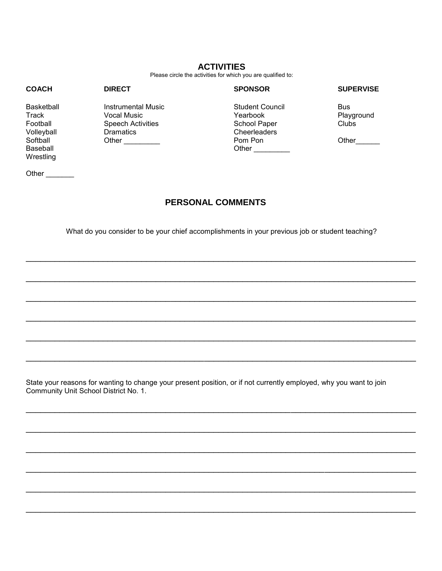#### **ACTIVITIES**

Please circle the activities for which you are qualified to:

#### **COACH DIRECT SPONSOR SUPERVISE**  Basketball Instrumental Music Student Council Bus Track Vocal Music Yearbook Playground Football Speech Activities<br>
Volleyball Clubs Dramatics Volleyball Dramatics Cheerleaders Softball Other \_\_\_\_\_\_\_\_\_ Pom Pon Other\_\_\_\_\_\_ Other  $\qquad \qquad$ **Wrestling**

Other \_\_\_\_\_\_\_\_

# **PERSONAL COMMENTS**

What do you consider to be your chief accomplishments in your previous job or student teaching?

\_\_\_\_\_\_\_\_\_\_\_\_\_\_\_\_\_\_\_\_\_\_\_\_\_\_\_\_\_\_\_\_\_\_\_\_\_\_\_\_\_\_\_\_\_\_\_\_\_\_\_\_\_\_\_\_\_\_\_\_\_\_\_\_\_\_\_\_\_\_\_\_\_\_\_\_\_\_\_\_\_

\_\_\_\_\_\_\_\_\_\_\_\_\_\_\_\_\_\_\_\_\_\_\_\_\_\_\_\_\_\_\_\_\_\_\_\_\_\_\_\_\_\_\_\_\_\_\_\_\_\_\_\_\_\_\_\_\_\_\_\_\_\_\_\_\_\_\_\_\_\_\_\_\_\_\_\_\_\_\_\_\_

\_\_\_\_\_\_\_\_\_\_\_\_\_\_\_\_\_\_\_\_\_\_\_\_\_\_\_\_\_\_\_\_\_\_\_\_\_\_\_\_\_\_\_\_\_\_\_\_\_\_\_\_\_\_\_\_\_\_\_\_\_\_\_\_\_\_\_\_\_\_\_\_\_\_\_\_\_\_\_\_\_

\_\_\_\_\_\_\_\_\_\_\_\_\_\_\_\_\_\_\_\_\_\_\_\_\_\_\_\_\_\_\_\_\_\_\_\_\_\_\_\_\_\_\_\_\_\_\_\_\_\_\_\_\_\_\_\_\_\_\_\_\_\_\_\_\_\_\_\_\_\_\_\_\_\_\_\_\_\_\_\_\_

\_\_\_\_\_\_\_\_\_\_\_\_\_\_\_\_\_\_\_\_\_\_\_\_\_\_\_\_\_\_\_\_\_\_\_\_\_\_\_\_\_\_\_\_\_\_\_\_\_\_\_\_\_\_\_\_\_\_\_\_\_\_\_\_\_\_\_\_\_\_\_\_\_\_\_\_\_\_\_\_\_

\_\_\_\_\_\_\_\_\_\_\_\_\_\_\_\_\_\_\_\_\_\_\_\_\_\_\_\_\_\_\_\_\_\_\_\_\_\_\_\_\_\_\_\_\_\_\_\_\_\_\_\_\_\_\_\_\_\_\_\_\_\_\_\_\_\_\_\_\_\_\_\_\_\_\_\_\_\_\_\_\_

\_\_\_\_\_\_\_\_\_\_\_\_\_\_\_\_\_\_\_\_\_\_\_\_\_\_\_\_\_\_\_\_\_\_\_\_\_\_\_\_\_\_\_\_\_\_\_\_\_\_\_\_\_\_\_\_\_\_\_\_\_\_\_\_\_\_\_\_\_\_\_\_\_\_\_\_\_\_\_\_\_

\_\_\_\_\_\_\_\_\_\_\_\_\_\_\_\_\_\_\_\_\_\_\_\_\_\_\_\_\_\_\_\_\_\_\_\_\_\_\_\_\_\_\_\_\_\_\_\_\_\_\_\_\_\_\_\_\_\_\_\_\_\_\_\_\_\_\_\_\_\_\_\_\_\_\_\_\_\_\_\_\_

\_\_\_\_\_\_\_\_\_\_\_\_\_\_\_\_\_\_\_\_\_\_\_\_\_\_\_\_\_\_\_\_\_\_\_\_\_\_\_\_\_\_\_\_\_\_\_\_\_\_\_\_\_\_\_\_\_\_\_\_\_\_\_\_\_\_\_\_\_\_\_\_\_\_\_\_\_\_\_\_\_

\_\_\_\_\_\_\_\_\_\_\_\_\_\_\_\_\_\_\_\_\_\_\_\_\_\_\_\_\_\_\_\_\_\_\_\_\_\_\_\_\_\_\_\_\_\_\_\_\_\_\_\_\_\_\_\_\_\_\_\_\_\_\_\_\_\_\_\_\_\_\_\_\_\_\_\_\_\_\_\_\_

\_\_\_\_\_\_\_\_\_\_\_\_\_\_\_\_\_\_\_\_\_\_\_\_\_\_\_\_\_\_\_\_\_\_\_\_\_\_\_\_\_\_\_\_\_\_\_\_\_\_\_\_\_\_\_\_\_\_\_\_\_\_\_\_\_\_\_\_\_\_\_\_\_\_\_\_\_\_\_\_\_

\_\_\_\_\_\_\_\_\_\_\_\_\_\_\_\_\_\_\_\_\_\_\_\_\_\_\_\_\_\_\_\_\_\_\_\_\_\_\_\_\_\_\_\_\_\_\_\_\_\_\_\_\_\_\_\_\_\_\_\_\_\_\_\_\_\_\_\_\_\_\_\_\_\_\_\_\_\_\_\_\_

State your reasons for wanting to change your present position, or if not currently employed, why you want to join Community Unit School District No. 1.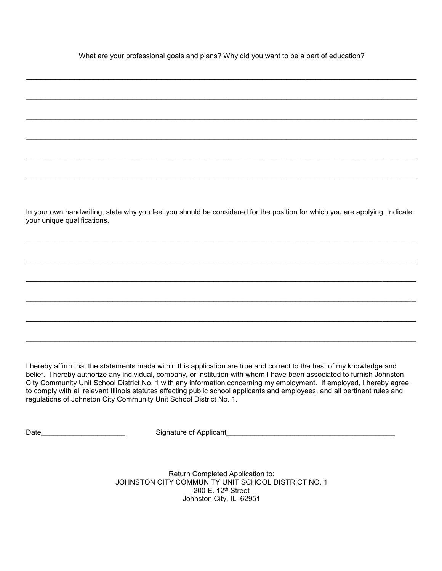What are your professional goals and plans? Why did you want to be a part of education?

\_\_\_\_\_\_\_\_\_\_\_\_\_\_\_\_\_\_\_\_\_\_\_\_\_\_\_\_\_\_\_\_\_\_\_\_\_\_\_\_\_\_\_\_\_\_\_\_\_\_\_\_\_\_\_\_\_\_\_\_\_\_\_\_\_\_\_\_\_\_\_\_\_\_\_\_\_\_\_\_\_

\_\_\_\_\_\_\_\_\_\_\_\_\_\_\_\_\_\_\_\_\_\_\_\_\_\_\_\_\_\_\_\_\_\_\_\_\_\_\_\_\_\_\_\_\_\_\_\_\_\_\_\_\_\_\_\_\_\_\_\_\_\_\_\_\_\_\_\_\_\_\_\_\_\_\_\_\_\_\_\_\_

\_\_\_\_\_\_\_\_\_\_\_\_\_\_\_\_\_\_\_\_\_\_\_\_\_\_\_\_\_\_\_\_\_\_\_\_\_\_\_\_\_\_\_\_\_\_\_\_\_\_\_\_\_\_\_\_\_\_\_\_\_\_\_\_\_\_\_\_\_\_\_\_\_\_\_\_\_\_\_\_\_

\_\_\_\_\_\_\_\_\_\_\_\_\_\_\_\_\_\_\_\_\_\_\_\_\_\_\_\_\_\_\_\_\_\_\_\_\_\_\_\_\_\_\_\_\_\_\_\_\_\_\_\_\_\_\_\_\_\_\_\_\_\_\_\_\_\_\_\_\_\_\_\_\_\_\_\_\_\_\_\_\_

\_\_\_\_\_\_\_\_\_\_\_\_\_\_\_\_\_\_\_\_\_\_\_\_\_\_\_\_\_\_\_\_\_\_\_\_\_\_\_\_\_\_\_\_\_\_\_\_\_\_\_\_\_\_\_\_\_\_\_\_\_\_\_\_\_\_\_\_\_\_\_\_\_\_\_\_\_\_\_\_\_

\_\_\_\_\_\_\_\_\_\_\_\_\_\_\_\_\_\_\_\_\_\_\_\_\_\_\_\_\_\_\_\_\_\_\_\_\_\_\_\_\_\_\_\_\_\_\_\_\_\_\_\_\_\_\_\_\_\_\_\_\_\_\_\_\_\_\_\_\_\_\_\_\_\_\_\_\_\_\_\_\_

In your own handwriting, state why you feel you should be considered for the position for which you are applying. Indicate your unique qualifications.

\_\_\_\_\_\_\_\_\_\_\_\_\_\_\_\_\_\_\_\_\_\_\_\_\_\_\_\_\_\_\_\_\_\_\_\_\_\_\_\_\_\_\_\_\_\_\_\_\_\_\_\_\_\_\_\_\_\_\_\_\_\_\_\_\_\_\_\_\_\_\_\_\_\_\_\_\_\_\_\_\_

\_\_\_\_\_\_\_\_\_\_\_\_\_\_\_\_\_\_\_\_\_\_\_\_\_\_\_\_\_\_\_\_\_\_\_\_\_\_\_\_\_\_\_\_\_\_\_\_\_\_\_\_\_\_\_\_\_\_\_\_\_\_\_\_\_\_\_\_\_\_\_\_\_\_\_\_\_\_\_\_\_

\_\_\_\_\_\_\_\_\_\_\_\_\_\_\_\_\_\_\_\_\_\_\_\_\_\_\_\_\_\_\_\_\_\_\_\_\_\_\_\_\_\_\_\_\_\_\_\_\_\_\_\_\_\_\_\_\_\_\_\_\_\_\_\_\_\_\_\_\_\_\_\_\_\_\_\_\_\_\_\_\_

\_\_\_\_\_\_\_\_\_\_\_\_\_\_\_\_\_\_\_\_\_\_\_\_\_\_\_\_\_\_\_\_\_\_\_\_\_\_\_\_\_\_\_\_\_\_\_\_\_\_\_\_\_\_\_\_\_\_\_\_\_\_\_\_\_\_\_\_\_\_\_\_\_\_\_\_\_\_\_\_\_

\_\_\_\_\_\_\_\_\_\_\_\_\_\_\_\_\_\_\_\_\_\_\_\_\_\_\_\_\_\_\_\_\_\_\_\_\_\_\_\_\_\_\_\_\_\_\_\_\_\_\_\_\_\_\_\_\_\_\_\_\_\_\_\_\_\_\_\_\_\_\_\_\_\_\_\_\_\_\_\_\_

\_\_\_\_\_\_\_\_\_\_\_\_\_\_\_\_\_\_\_\_\_\_\_\_\_\_\_\_\_\_\_\_\_\_\_\_\_\_\_\_\_\_\_\_\_\_\_\_\_\_\_\_\_\_\_\_\_\_\_\_\_\_\_\_\_\_\_\_\_\_\_\_\_\_\_\_\_\_\_\_\_

I hereby affirm that the statements made within this application are true and correct to the best of my knowledge and belief. I hereby authorize any individual, company, or institution with whom I have been associated to furnish Johnston City Community Unit School District No. 1 with any information concerning my employment. If employed, I hereby agree to comply with all relevant Illinois statutes affecting public school applicants and employees, and all pertinent rules and regulations of Johnston City Community Unit School District No. 1.

Date the contract of Signature of Applicant

Return Completed Application to: JOHNSTON CITY COMMUNITY UNIT SCHOOL DISTRICT NO. 1 200 E. 12th Street Johnston City, IL 62951